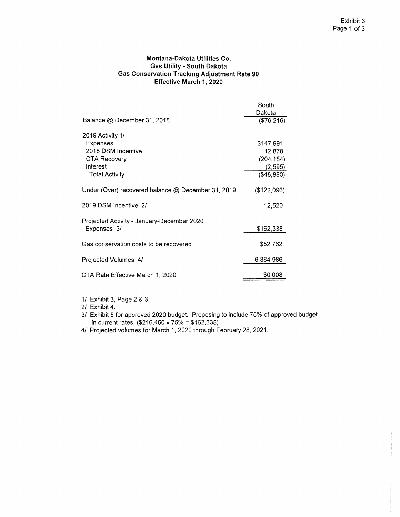## **Montana-Dakota Utilities Co. Gas Utility - South Dakota Gas Conservation Tracking Adjustment Rate 90 Effective March 1, 2020**

| Dakota<br>Balance @ December 31, 2018<br>2019 Activity 1/<br><b>Expenses</b><br>\$147,991<br>2018 DSM Incentive<br>12,878<br><b>CTA Recovery</b><br>(204, 154)<br>Interest<br>(2, 595)<br>(\$45,880)<br><b>Total Activity</b><br>Under (Over) recovered balance @ December 31, 2019<br>(\$122,096)<br>2019 DSM Incentive 2/<br>12,520<br>Projected Activity - January-December 2020<br>\$162,338<br>Expenses 3/<br>\$52,762<br>Gas conservation costs to be recovered<br>6,884,986<br>Projected Volumes 4/<br>\$0.008<br>CTA Rate Effective March 1, 2020 | South      |
|-----------------------------------------------------------------------------------------------------------------------------------------------------------------------------------------------------------------------------------------------------------------------------------------------------------------------------------------------------------------------------------------------------------------------------------------------------------------------------------------------------------------------------------------------------------|------------|
|                                                                                                                                                                                                                                                                                                                                                                                                                                                                                                                                                           |            |
|                                                                                                                                                                                                                                                                                                                                                                                                                                                                                                                                                           | (\$76,216) |
|                                                                                                                                                                                                                                                                                                                                                                                                                                                                                                                                                           |            |
|                                                                                                                                                                                                                                                                                                                                                                                                                                                                                                                                                           |            |
|                                                                                                                                                                                                                                                                                                                                                                                                                                                                                                                                                           |            |
|                                                                                                                                                                                                                                                                                                                                                                                                                                                                                                                                                           |            |
|                                                                                                                                                                                                                                                                                                                                                                                                                                                                                                                                                           |            |
|                                                                                                                                                                                                                                                                                                                                                                                                                                                                                                                                                           |            |
|                                                                                                                                                                                                                                                                                                                                                                                                                                                                                                                                                           |            |
|                                                                                                                                                                                                                                                                                                                                                                                                                                                                                                                                                           |            |
|                                                                                                                                                                                                                                                                                                                                                                                                                                                                                                                                                           |            |
|                                                                                                                                                                                                                                                                                                                                                                                                                                                                                                                                                           |            |
|                                                                                                                                                                                                                                                                                                                                                                                                                                                                                                                                                           |            |
|                                                                                                                                                                                                                                                                                                                                                                                                                                                                                                                                                           |            |
|                                                                                                                                                                                                                                                                                                                                                                                                                                                                                                                                                           |            |

1/ Exhibit 3, Page 2 & 3.

2/ Exhibit 4.

- 3/ Exhibit 5 for approved 2020 budget. Proposing to include 75% of approved budget in current rates. (\$216,450 x 75% = \$162,338)
- 4/ Projected volumes for March 1, 2020 through February 28, 2021.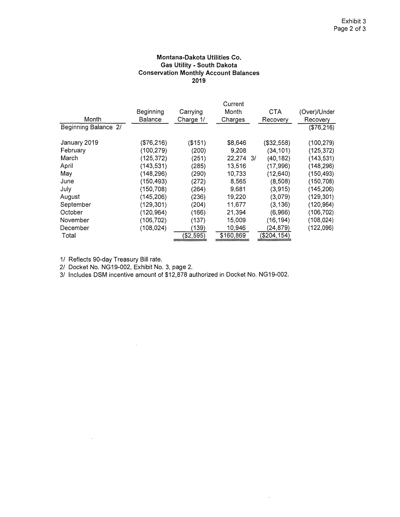## **Montana-Dakota Utilities Co. Gas Utility - South Dakota Conservation Monthly Account Balances 2019**

|                      |            |           | Current   |              |              |
|----------------------|------------|-----------|-----------|--------------|--------------|
|                      | Beginning  | Carrying  | Month     | <b>CTA</b>   | (Over)/Under |
| Month                | Balance    | Charge 1/ | Charges   | Recovery     | Recovery     |
| Beginning Balance 2/ |            |           |           |              | (\$76,216)   |
| January 2019         | (\$76,216) | ( \$151)  | \$8,646   | ( \$32, 558) | (100, 279)   |
| February             | (100,279)  | (200)     | 9.208     | (34, 101)    | (125, 372)   |
| March                | (125, 372) | (251)     | 22,274 3/ | (40.182)     | (143, 531)   |
| April                | (143, 531) | (285)     | 13,516    | (17,996)     | (148, 296)   |
| May                  | (148,296)  | (290)     | 10,733    | (12, 640)    | (150, 493)   |
| June                 | (150, 493) | (272)     | 8.565     | (8,508)      | (150,708)    |
| July                 | (150, 708) | (264)     | 9,681     | (3,915)      | (145.206)    |
| August               | (145, 206) | (236)     | 19,220    | (3,079)      | (129, 301)   |
| September            | (129, 301) | (204)     | 11,677    | (3, 136)     | (120, 964)   |
| October              | (120.964)  | (166)     | 21,394    | (6,966)      | (106, 702)   |
| November             | (106, 702) | (137)     | 15,009    | (16, 194)    | (108, 024)   |
| December             | (108.024)  | (139)     | 10,946    | (24, 879)    | (122,096)    |
| Total                |            | (\$2,595) | \$160,869 | (\$204, 154) |              |

 $\sim$ 

1/ Reflects 90-day Treasury Bill rate.

 $\sim 10^7$ 

2/ Docket No. NG19-002, Exhibit No. 3, page 2.

 $\sim 10^7$ 

3/ Includes DSM incentive amount of \$12,878 authorized in Docket No. NG19-002.